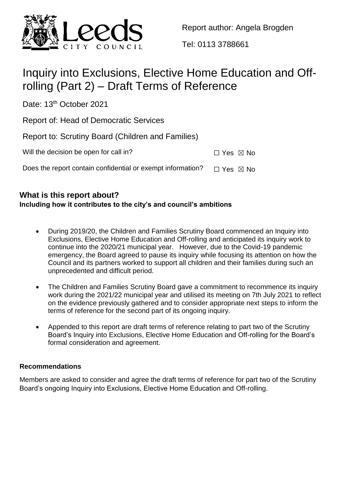

Report author: Angela Brogden

Tel: 0113 3788661

# Inquiry into Exclusions, Elective Home Education and Offrolling (Part 2) – Draft Terms of Reference

Date: 13<sup>th</sup> October 2021

Report of: Head of Democratic Services

Report to: Scrutiny Board (Children and Families)

| Will the decision be open for call in? | $\Box$ Yes $\boxtimes$ No |  |
|----------------------------------------|---------------------------|--|
|                                        |                           |  |

Does the report contain confidential or exempt information?  $\Box$  Yes  $\boxtimes$  No

# **What is this report about?**

# **Including how it contributes to the city's and council's ambitions**

- During 2019/20, the Children and Families Scrutiny Board commenced an Inquiry into Exclusions, Elective Home Education and Off-rolling and anticipated its inquiry work to continue into the 2020/21 municipal year. However, due to the Covid-19 pandemic emergency, the Board agreed to pause its inquiry while focusing its attention on how the Council and its partners worked to support all children and their families during such an unprecedented and difficult period.
- The Children and Families Scrutiny Board gave a commitment to recommence its inquiry work during the 2021/22 municipal year and utilised its meeting on 7th July 2021 to reflect on the evidence previously gathered and to consider appropriate next steps to inform the terms of reference for the second part of its ongoing inquiry.
- Appended to this report are draft terms of reference relating to part two of the Scrutiny Board's Inquiry into Exclusions, Elective Home Education and Off-rolling for the Board's formal consideration and agreement.

# **Recommendations**

Members are asked to consider and agree the draft terms of reference for part two of the Scrutiny Board's ongoing Inquiry into Exclusions, Elective Home Education and Off-rolling.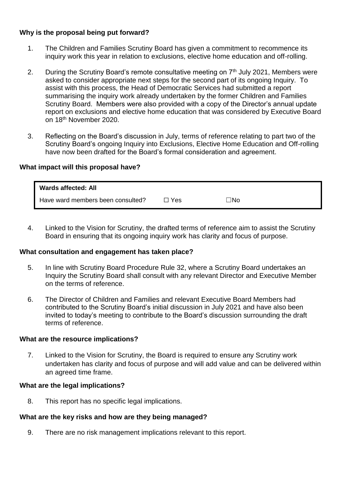## **Why is the proposal being put forward?**

- 1. The Children and Families Scrutiny Board has given a commitment to recommence its inquiry work this year in relation to exclusions, elective home education and off-rolling.
- 2. During the Scrutiny Board's remote consultative meeting on  $7<sup>th</sup>$  July 2021, Members were asked to consider appropriate next steps for the second part of its ongoing Inquiry. To assist with this process, the Head of Democratic Services had submitted a report summarising the inquiry work already undertaken by the former Children and Families Scrutiny Board. Members were also provided with a copy of the Director's annual update report on exclusions and elective home education that was considered by Executive Board on 18th November 2020.
- 3. Reflecting on the Board's discussion in July, terms of reference relating to part two of the Scrutiny Board's ongoing Inquiry into Exclusions, Elective Home Education and Off-rolling have now been drafted for the Board's formal consideration and agreement.

## **What impact will this proposal have?**

| <b>Wards affected: All</b>        |       |           |
|-----------------------------------|-------|-----------|
| Have ward members been consulted? | ∃ Yes | $\Box$ No |

4. Linked to the Vision for Scrutiny, the drafted terms of reference aim to assist the Scrutiny Board in ensuring that its ongoing inquiry work has clarity and focus of purpose.

## **What consultation and engagement has taken place?**

- 5. In line with Scrutiny Board Procedure Rule 32, where a Scrutiny Board undertakes an Inquiry the Scrutiny Board shall consult with any relevant Director and Executive Member on the terms of reference.
- 6. The Director of Children and Families and relevant Executive Board Members had contributed to the Scrutiny Board's initial discussion in July 2021 and have also been invited to today's meeting to contribute to the Board's discussion surrounding the draft terms of reference.

#### **What are the resource implications?**

7. Linked to the Vision for Scrutiny, the Board is required to ensure any Scrutiny work undertaken has clarity and focus of purpose and will add value and can be delivered within an agreed time frame.

#### **What are the legal implications?**

8. This report has no specific legal implications.

## **What are the key risks and how are they being managed?**

9. There are no risk management implications relevant to this report.